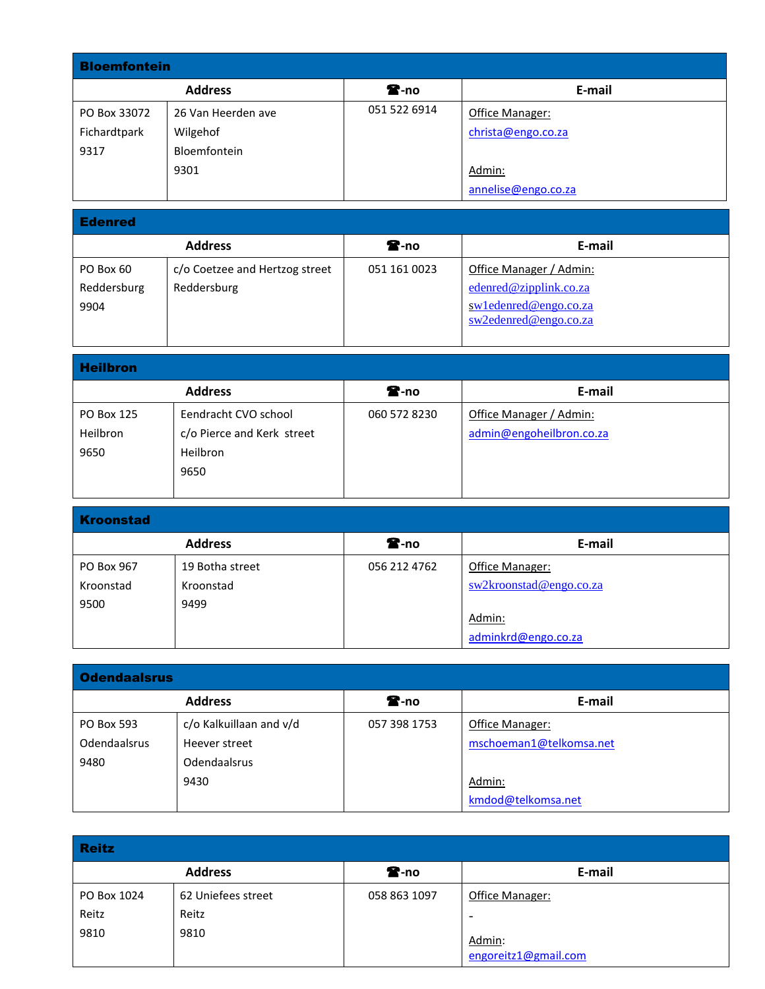| <b>Bloemfontein</b> |                    |                  |                     |  |
|---------------------|--------------------|------------------|---------------------|--|
|                     | <b>Address</b>     | $\mathbf{R}$ -no | E-mail              |  |
| PO Box 33072        | 26 Van Heerden ave | 051 522 6914     | Office Manager:     |  |
| Fichardtpark        | Wilgehof           |                  | christa@engo.co.za  |  |
| 9317                | Bloemfontein       |                  |                     |  |
|                     | 9301               |                  | Admin:              |  |
|                     |                    |                  | annelise@engo.co.za |  |

| <b>Edenred</b> |                                |                  |                          |  |
|----------------|--------------------------------|------------------|--------------------------|--|
|                | <b>Address</b>                 | $\mathbf{E}$ -no | E-mail                   |  |
| PO Box 60      | c/o Coetzee and Hertzog street | 051 161 0023     | Office Manager / Admin:  |  |
| Reddersburg    | Reddersburg                    |                  | edenred@zipplink.co.za   |  |
| 9904           |                                |                  | $sw1$ edenred@engo.co.za |  |
|                |                                |                  | $sw2$ edenred@engo.co.za |  |
|                |                                |                  |                          |  |

a sa kabila sa kasang sa kabilang sa kasang sa kasang sa kasang sa kasang sa kasang sa kasang sa kasang sa kas

| <b>Heilbron</b>                |                                                                        |                  |                                                     |  |
|--------------------------------|------------------------------------------------------------------------|------------------|-----------------------------------------------------|--|
|                                | <b>Address</b>                                                         | $\mathbf{E}$ -no | E-mail                                              |  |
| PO Box 125<br>Heilbron<br>9650 | Eendracht CVO school<br>c/o Pierce and Kerk street<br>Heilbron<br>9650 | 060 572 8230     | Office Manager / Admin:<br>admin@engoheilbron.co.za |  |

| <b>Kroonstad</b> |                 |                  |                         |  |
|------------------|-----------------|------------------|-------------------------|--|
|                  | <b>Address</b>  | $\mathbf{r}$ -no | E-mail                  |  |
| PO Box 967       | 19 Botha street | 056 212 4762     | Office Manager:         |  |
| Kroonstad        | Kroonstad       |                  | sw2kroonstad@engo.co.za |  |
| 9500             | 9499            |                  |                         |  |
|                  |                 |                  | Admin:                  |  |
|                  |                 |                  | adminkrd@engo.co.za     |  |

| <b>Odendaalsrus</b> |                         |                  |                         |  |
|---------------------|-------------------------|------------------|-------------------------|--|
|                     | <b>Address</b>          | $\mathbf{r}$ -no | E-mail                  |  |
| <b>PO Box 593</b>   | c/o Kalkuillaan and v/d | 057 398 1753     | Office Manager:         |  |
| Odendaalsrus        | Heever street           |                  | mschoeman1@telkomsa.net |  |
| 9480                | <b>Odendaalsrus</b>     |                  |                         |  |
|                     | 9430                    |                  | Admin:                  |  |
|                     |                         |                  | kmdod@telkomsa.net      |  |

| <b>Reitz</b> |                    |                  |                                |  |
|--------------|--------------------|------------------|--------------------------------|--|
|              | <b>Address</b>     | $\mathbf{R}$ -no | E-mail                         |  |
| PO Box 1024  | 62 Uniefees street | 058 863 1097     | Office Manager:                |  |
| Reitz        | Reitz              |                  | -                              |  |
| 9810         | 9810               |                  | Admin:<br>engoreitz1@gmail.com |  |